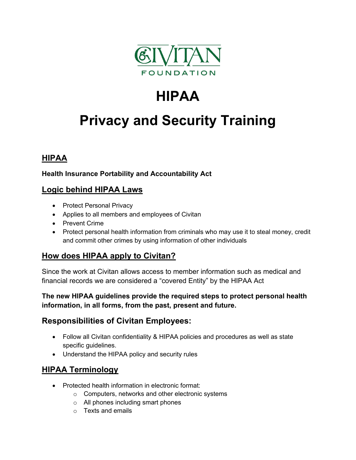

## **HIPAA**

# **Privacy and Security Training**

## **HIPAA**

#### **Health Insurance Portability and Accountability Act**

#### **Logic behind HIPAA Laws**

- Protect Personal Privacy
- Applies to all members and employees of Civitan
- Prevent Crime
- Protect personal health information from criminals who may use it to steal money, credit and commit other crimes by using information of other individuals

## **How does HIPAA apply to Civitan?**

Since the work at Civitan allows access to member information such as medical and financial records we are considered a "covered Entity" by the HIPAA Act

**The new HIPAA guidelines provide the required steps to protect personal health information, in all forms, from the past, present and future.** 

## **Responsibilities of Civitan Employees:**

- Follow all Civitan confidentiality & HIPAA policies and procedures as well as state specific guidelines.
- Understand the HIPAA policy and security rules

## **HIPAA Terminology**

- Protected health information in electronic format:
	- o Computers, networks and other electronic systems
	- o All phones including smart phones
	- $\circ$  Texts and emails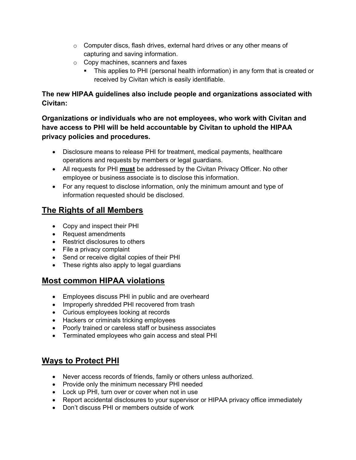- o Computer discs, flash drives, external hard drives or any other means of capturing and saving information.
- o Copy machines, scanners and faxes
	- This applies to PHI (personal health information) in any form that is created or received by Civitan which is easily identifiable.

#### **The new HIPAA guidelines also include people and organizations associated with Civitan:**

**Organizations or individuals who are not employees, who work with Civitan and have access to PHI will be held accountable by Civitan to uphold the HIPAA privacy policies and procedures.** 

- Disclosure means to release PHI for treatment, medical payments, healthcare operations and requests by members or legal guardians.
- All requests for PHI **must** be addressed by the Civitan Privacy Officer. No other employee or business associate is to disclose this information.
- For any request to disclose information, only the minimum amount and type of information requested should be disclosed.

## **The Rights of all Members**

- Copy and inspect their PHI
- Request amendments
- Restrict disclosures to others
- File a privacy complaint
- Send or receive digital copies of their PHI
- These rights also apply to legal guardians

## **Most common HIPAA violations**

- Employees discuss PHI in public and are overheard
- Improperly shredded PHI recovered from trash
- Curious employees looking at records
- Hackers or criminals tricking employees
- Poorly trained or careless staff or business associates
- Terminated employees who gain access and steal PHI

## **Ways to Protect PHI**

- Never access records of friends, family or others unless authorized.
- Provide only the minimum necessary PHI needed
- Lock up PHI, turn over or cover when not in use
- Report accidental disclosures to your supervisor or HIPAA privacy office immediately
- Don't discuss PHI or members outside of work